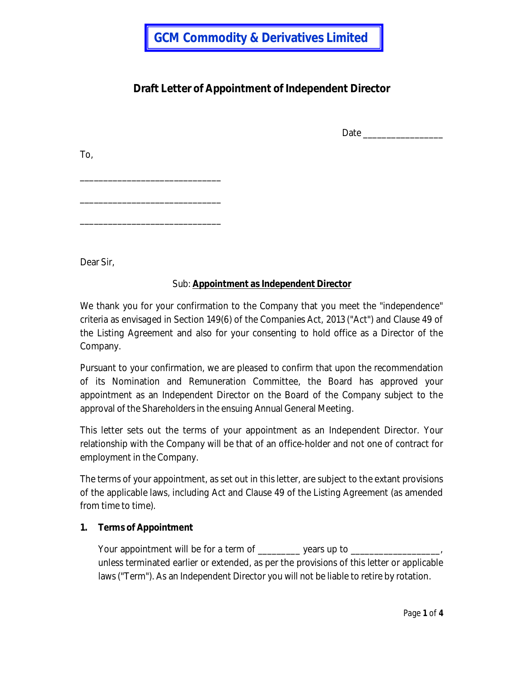# **Draft Letter of Appointment of Independent Director**

Date \_\_\_\_\_\_\_\_\_\_\_\_\_\_\_\_\_

To,

\_\_\_\_\_\_\_\_\_\_\_\_\_\_\_\_\_\_\_\_\_\_\_\_\_\_\_\_\_\_

\_\_\_\_\_\_\_\_\_\_\_\_\_\_\_\_\_\_\_\_\_\_\_\_\_\_\_\_\_\_

\_\_\_\_\_\_\_\_\_\_\_\_\_\_\_\_\_\_\_\_\_\_\_\_\_\_\_\_\_\_

Dear Sir,

# Sub: **Appointment as Independent Director**

We thank you for your confirmation to the Company that you meet the "independence" criteria as envisaged in Section 149(6) of the Companies Act, 2013 ("Act") and Clause 49 of the Listing Agreement and also for your consenting to hold office as a Director of the Company.

Pursuant to your confirmation, we are pleased to confirm that upon the recommendation of its Nomination and Remuneration Committee, the Board has approved your appointment as an Independent Director on the Board of the Company subject to the approval of the Shareholders in the ensuing Annual General Meeting.

This letter sets out the terms of your appointment as an Independent Director. Your relationship with the Company will be that of an office-holder and not one of contract for employment in the Company.

The terms of your appointment, as set out in this letter, are subject to the extant provisions of the applicable laws, including Act and Clause 49 of the Listing Agreement (as amended from time to time).

# **1. Terms of Appointment**

Your appointment will be for a term of \_\_\_\_\_\_\_\_\_ years up to \_\_\_\_\_\_\_\_\_\_\_\_\_\_\_\_\_\_\_ unless terminated earlier or extended, as per the provisions of this letter or applicable laws ("Term"). As an Independent Director you will not be liable to retire by rotation.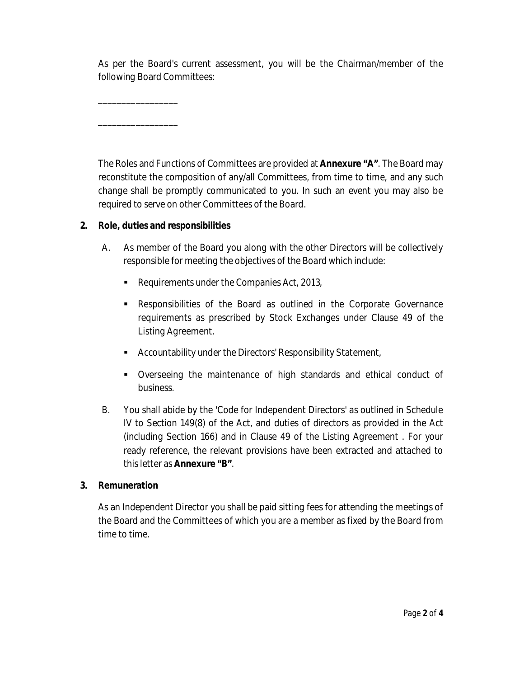As per the Board's current assessment, you will be the Chairman/member of the following Board Committees:

The Roles and Functions of Committees are provided at **Annexure "A"**. The Board may reconstitute the composition of any/all Committees, from time to time, and any such change shall be promptly communicated to you. In such an event you may also be required to serve on other Committees of the Board.

# **2. Role, duties and responsibilities**

\_\_\_\_\_\_\_\_\_\_\_\_\_\_\_\_\_

\_\_\_\_\_\_\_\_\_\_\_\_\_\_\_\_\_

- A. As member of the Board you along with the other Directors will be collectively responsible for meeting the objectives of the Board which include:
	- Requirements under the Companies Act, 2013,
	- Responsibilities of the Board as outlined in the Corporate Governance requirements as prescribed by Stock Exchanges under Clause 49 of the Listing Agreement.
	- Accountability under the Directors' Responsibility Statement,
	- Overseeing the maintenance of high standards and ethical conduct of business.
- B. You shall abide by the 'Code for Independent Directors' as outlined in Schedule IV to Section 149(8) of the Act, and duties of directors as provided in the Act (including Section 166) and in Clause 49 of the Listing Agreement . For your ready reference, the relevant provisions have been extracted and attached to this letter as **Annexure "B"**.

#### **3. Remuneration**

As an Independent Director you shall be paid sitting fees for attending the meetings of the Board and the Committees of which you are a member as fixed by the Board from time to time.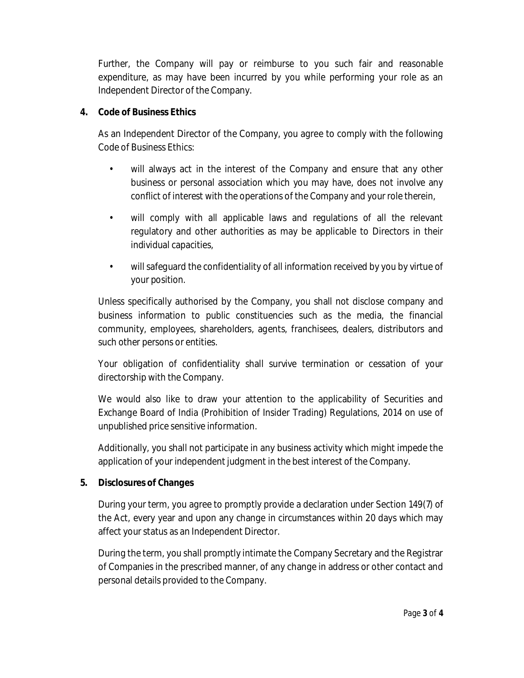Further, the Company will pay or reimburse to you such fair and reasonable expenditure, as may have been incurred by you while performing your role as an Independent Director of the Company.

#### **4. Code of Business Ethics**

As an Independent Director of the Company, you agree to comply with the following Code of Business Ethics:

- will always act in the interest of the Company and ensure that any other business or personal association which you may have, does not involve any conflict of interest with the operations of the Company and your role therein,
- will comply with all applicable laws and regulations of all the relevant regulatory and other authorities as may be applicable to Directors in their individual capacities,
- will safeguard the confidentiality of all information received by you by virtue of your position.

Unless specifically authorised by the Company, you shall not disclose company and business information to public constituencies such as the media, the financial community, employees, shareholders, agents, franchisees, dealers, distributors and such other persons or entities.

Your obligation of confidentiality shall survive termination or cessation of your directorship with the Company.

We would also like to draw your attention to the applicability of Securities and Exchange Board of India (Prohibition of Insider Trading) Regulations, 2014 on use of unpublished price sensitive information.

Additionally, you shall not participate in any business activity which might impede the application of your independent judgment in the best interest of the Company.

# **5. Disclosures of Changes**

During your term, you agree to promptly provide a declaration under Section 149(7) of the Act, every year and upon any change in circumstances within 20 days which may affect your status as an Independent Director.

During the term, you shall promptly intimate the Company Secretary and the Registrar of Companies in the prescribed manner, of any change in address or other contact and personal details provided to the Company.